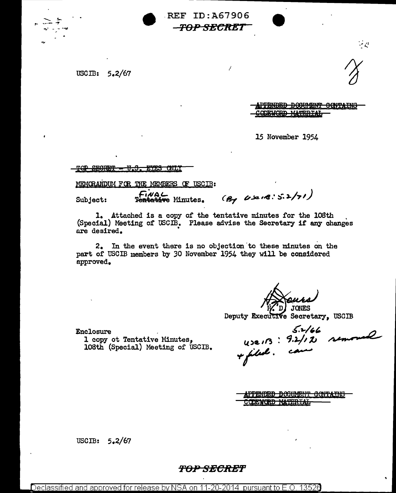

.REF ID:A67906 70P-SECRET

/

USCIB:  $5.2/67$ 

**IPFRNDED DOOUMENT OCNTAINS** SODEWORD MATERIAL

 $\cdot$  .  $\cdot$ 

15 November 1954

•<br>•

<u>TGP SEGRET - U.S. EYES CNLY</u>

MEMORANDUM FOR THE MEMBERS OF USCIB:

FiNAL<br>Subject: Fentative Minutes. (By Use 18: 5.2/71)

l. Attached is a copy of the tentative minutes for the lOSth . (Special) Meeting of USCIB. Please ad.vise the Secretary if any changes nre desired. •

2. In the event there is no objection"to these minutes on the part of USCIB members by 30 November 1954 they will be considered approved.

, D JONES

Deputy Executive Secretary, USCIB

l copy ot Tentative 1 copy ot lentative minutes,<br>108th (Special) Meeting of USCIB.

 $\frac{1}{2}$  Enclosure  $\frac{1}{2}$  **Little** JONES<br>Secretary, USCIB<br>S.2/166<br>9.2/12 removed

<del>APPENDED DOCUMENT CONTAINS</del> **COEWORD MATERIAL** 

USCIB:  $5.2/67$ 

## 'FOP SECRET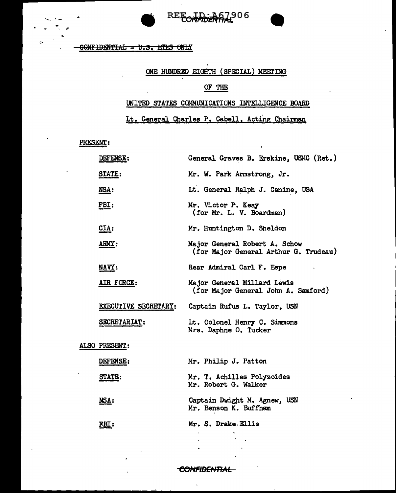

GONFIDENTIAL - U.S. EYES ONLY

# ONE HUNDRED EIGHTH (SPECIAL) MEETING

### OF THE

#### UNITED STATES COMMUNICATIONS INTELLIGENCE BOARD

Lt. General Charles P. Cabell, Acting Chairman

PRESENT.:

 $\sim$ ...

.. . .

| DEFENSE:                    | General Graves B. Erskine, USMC (Ret.)                                 |
|-----------------------------|------------------------------------------------------------------------|
| STATE:                      | Mr. W. Park Armstrong, Jr.                                             |
| NSA:                        | Lt. General Ralph J. Canine, USA                                       |
| <u>FBI:</u>                 | Mr. Victor P. Keay<br>(for Mr. L. V. Boardman)                         |
| CIA:                        | Mr. Huntington D. Sheldon                                              |
| <b>ARMY:</b>                | Major General Robert A. Schow<br>(for Major General Arthur G. Trudeau) |
| <b>NAVY:</b>                | Rear Admiral Carl F. Espe                                              |
| AIR FORCE:                  | Major General Millard Lewis<br>(for Major General John A. Samford)     |
| <b>EXECUTIVE SECRETARY:</b> | Captain Rufus L. Taylor, USN                                           |
| SECRETARIAT:                | Lt. Colonel Henry C. Simmons<br>Mrs. Daphne O. Tucker                  |
| ALSO PRESENT:               |                                                                        |
| DEFENSE:                    | Mr. Philip J. Patton                                                   |
| STATE:                      | Mr. T. Achilles Polyzoides<br>Mr. Robert G. Walker                     |
| NSA:                        | Captain Dwight M. Agnew, USN<br>Mr. Benson K. Buffham                  |
| FBI:                        | Mr. S. Drake Ellis                                                     |

**CONFIDENTIAL** 

 $\ddot{\phantom{a}}$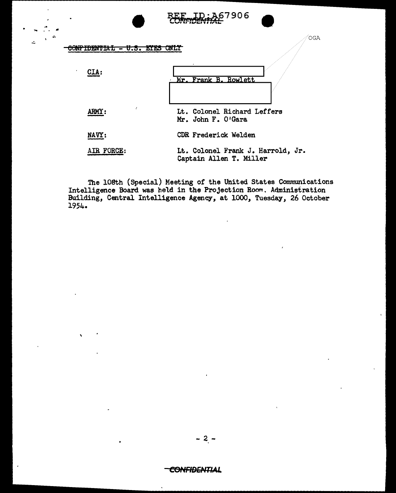|                 | שמו ורשים וייש                                               |
|-----------------|--------------------------------------------------------------|
| ww<br>U.S.<br>- | OGA<br>UNLI                                                  |
| $\cdot$<br>CIA: | Mr. Frank B. Rowlett                                         |
| <b>ARMY :</b>   | Lt. Colonel Richard Leffers<br>Mr. John F. O'Gara            |
| NAVY:           | CDR Frederick Welden                                         |
| AIR FORCE:      | Lt. Colonel Frank J. Harrold, Jr.<br>Captain Allen T. Miller |

 $E$ <sub>LID</sub>: A67906

•

 $\ddot{\phantom{0}}$ 

 $\mathcal{A}$ 

'

The 108th (Special) Meeting of the United States Communications Intelligence Board was held in the Projection Room. Administration Building, Central Intelligence Agency, at 1000, Tuesday, 26 October 1954.

- 2 -